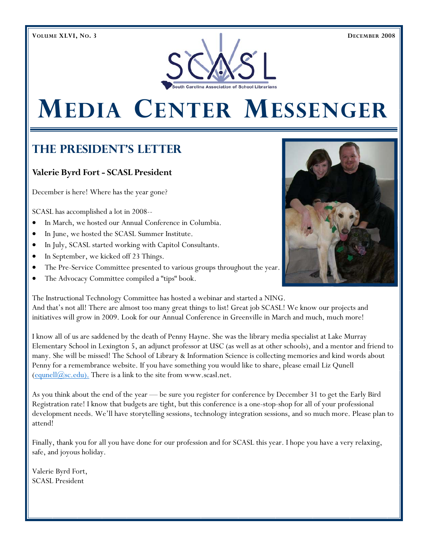

# **MEDIA CENTER MESSENGER**

## **The President's Letter**

## **Valerie Byrd Fort - SCASL President**

December is here! Where has the year gone?

SCASL has accomplished a lot in 2008--

- In March, we hosted our Annual Conference in Columbia.
- In June, we hosted the SCASL Summer Institute.
- In July, SCASL started working with Capitol Consultants.
- In September, we kicked off 23 Things.
- The Pre-Service Committee presented to various groups throughout the year.
- The Advocacy Committee compiled a "tips" book.



The Instructional Technology Committee has hosted a webinar and started a NING. And that's not all! There are almost too many great things to list! Great job SCASL! We know our projects and initiatives will grow in 2009. Look for our Annual Conference in Greenville in March and much, much more!

I know all of us are saddened by the death of Penny Hayne. She was the library media specialist at Lake Murray Elementary School in Lexington 5, an adjunct professor at USC (as well as at other schools), and a mentor and friend to many. She will be missed! The School of Library & Information Science is collecting memories and kind words about Penny for a remembrance website. If you have something you would like to share, please email Liz Qunell  $(\text{equnell}(\widehat{\omega}_{\text{SC}}.\text{edu})$ . There is a link to the site from www.scasl.net.

As you think about the end of the year — be sure you register for conference by December 31 to get the Early Bird Registration rate! I know that budgets are tight, but this conference is a one-stop-shop for all of your professional development needs. We'll have storytelling sessions, technology integration sessions, and so much more. Please plan to attend!

Finally, thank you for all you have done for our profession and for SCASL this year. I hope you have a very relaxing, safe, and joyous holiday.

Valerie Byrd Fort, SCASL President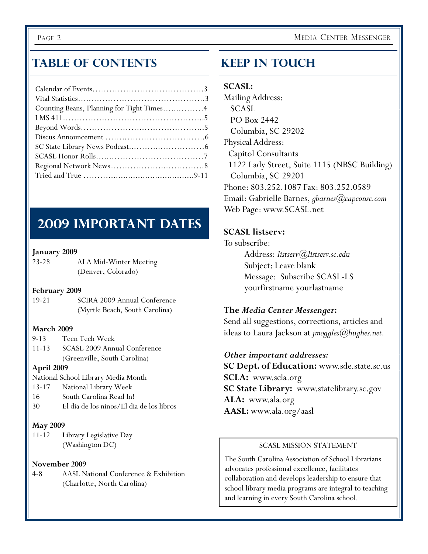## **Table of Contents**

| Counting Beans, Planning for Tight Times4 |
|-------------------------------------------|
|                                           |
|                                           |
|                                           |
|                                           |
|                                           |
|                                           |
|                                           |

## **2009 Important Dates**

## **January 2009**

| $23 - 28$ | ALA Mid-Winter Meeting |
|-----------|------------------------|
|           | (Denver, Colorado)     |

## **February 2009**

19-21SCIRA 2009 Annual Conference (Myrtle Beach, South Carolina)

## **March 2009**

- 9-13 Teen Tech Week
- 11-13 SCASL 2009 Annual Conference (Greenville, South Carolina)

## **April 2009**

National School Library Media Month

- 13-17 National Library Week
- 16 South Carolina Read In!
- 30 El dia de los ninos/El dia de los libros

## **May 2009**

11-12 Library Legislative Day (Washington DC)

## **November 2009**

4-8 AASL National Conference & Exhibition (Charlotte, North Carolina)

## **Keep In Touch**

## **SCASL:**

Mailing Address: SCASL PO Box 2442 Columbia, SC 29202 Physical Address: Capitol Consultants 1122 Lady Street, Suite 1115 (NBSC Building) Columbia, SC 29201 Phone: 803.252.1087 Fax: 803.252.0589 Email: Gabrielle Barnes, *gbarnes@capconsc.com* Web Page: www.SCASL.net

## **SCASL listserv:**

To subscribe: Address: *listserv@listserv.sc.edu* Subject: Leave blank Message: Subscribe SCASL-LS yourfirstname yourlastname

## **The** *Media Center Messenger***:**

Send all suggestions, corrections, articles and ideas to Laura Jackson at *jmoggles@hughes.net.* 

## *Other important addresses:*

**SC Dept. of Education:** www.sde.state.sc.us **SCLA:** www.scla.org **SC State Library:** www.statelibrary.sc.gov **ALA:** www.ala.org **AASL:** www.ala.org/aasl

## SCASL MISSION STATEMENT

The South Carolina Association of School Librarians advocates professional excellence, facilitates collaboration and develops leadership to ensure that school library media programs are integral to teaching and learning in every South Carolina school.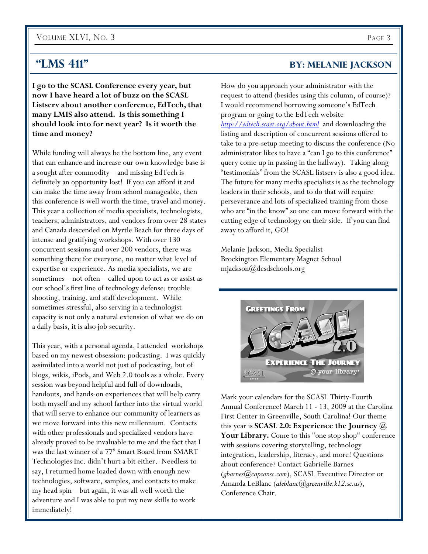## VOLUME XLVI, NO. 3 PAGE 3

**I go to the SCASL Conference every year, but now I have heard a lot of buzz on the SCASL Listserv about another conference, EdTech, that many LMIS also attend. Is this something I should look into for next year? Is it worth the time and money?** 

While funding will always be the bottom line, any event that can enhance and increase our own knowledge base is a sought after commodity – and missing EdTech is definitely an opportunity lost! If you can afford it and can make the time away from school manageable, then this conference is well worth the time, travel and money. This year a collection of media specialists, technologists, teachers, administrators, and vendors from over 28 states and Canada descended on Myrtle Beach for three days of intense and gratifying workshops. With over 130 concurrent sessions and over 200 vendors, there was something there for everyone, no matter what level of expertise or experience. As media specialists, we are sometimes – not often – called upon to act as or assist as our school's first line of technology defense: trouble shooting, training, and staff development. While sometimes stressful, also serving in a technologist capacity is not only a natural extension of what we do on a daily basis, it is also job security.

This year, with a personal agenda, I attended workshops based on my newest obsession: podcasting. I was quickly assimilated into a world not just of podcasting, but of blogs, wikis, iPods, and Web 2.0 tools as a whole. Every session was beyond helpful and full of downloads, handouts, and hands-on experiences that will help carry both myself and my school farther into the virtual world that will serve to enhance our community of learners as we move forward into this new millennium. Contacts with other professionals and specialized vendors have already proved to be invaluable to me and the fact that I was the last winner of a 77" Smart Board from SMART Technologies Inc. didn't hurt a bit either. Needless to say, I returned home loaded down with enough new technologies, software, samples, and contacts to make my head spin – but again, it was all well worth the adventure and I was able to put my new skills to work immediately!

## **"LMS 411"** BY: MELANIE JACKSON

How do you approach your administrator with the request to attend (besides using this column, of course)? I would recommend borrowing someone's EdTech program or going to the EdTech website *http://edtech.scaet.org/about.html* and downloading the listing and description of concurrent sessions offered to take to a pre-setup meeting to discuss the conference (No administrator likes to have a "can I go to this conference" query come up in passing in the hallway). Taking along "testimonials" from the SCASL listserv is also a good idea. The future for many media specialists is as the technology leaders in their schools, and to do that will require perseverance and lots of specialized training from those who are "in the know" so one can move forward with the cutting edge of technology on their side. If you can find away to afford it, GO!

Melanie Jackson, Media Specialist Brockington Elementary Magnet School mjackson@dcsdschools.org



Mark your calendars for the SCASL Thirty-Fourth Annual Conference! March 11 - 13, 2009 at the Carolina First Center in Greenville, South Carolina! Our theme this year is **SCASL 2.0: Experience the Journey @**  Your Library. Come to this "one stop shop" conference with sessions covering storytelling, technology integration, leadership, literacy, and more! Questions about conference? Contact Gabrielle Barnes (*gbarnes@capconsc.com*), SCASL Executive Director or Amanda LeBlanc (*aleblanc@greenville.k12.sc.us*), Conference Chair.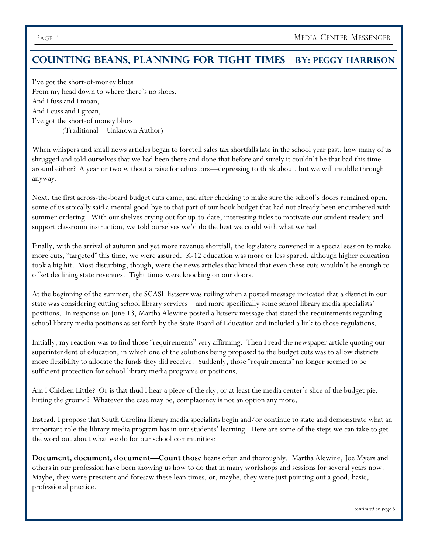## **Counting Beans, Planning For tight Times By: Peggy Harrison**

I've got the short-of-money blues From my head down to where there's no shoes, And I fuss and I moan, And I cuss and I groan, I've got the short-of money blues. (Traditional—Unknown Author)

When whispers and small news articles began to foretell sales tax shortfalls late in the school year past, how many of us shrugged and told ourselves that we had been there and done that before and surely it couldn't be that bad this time around either? A year or two without a raise for educators—depressing to think about, but we will muddle through anyway.

Next, the first across-the-board budget cuts came, and after checking to make sure the school's doors remained open, some of us stoically said a mental good-bye to that part of our book budget that had not already been encumbered with summer ordering. With our shelves crying out for up-to-date, interesting titles to motivate our student readers and support classroom instruction, we told ourselves we'd do the best we could with what we had.

Finally, with the arrival of autumn and yet more revenue shortfall, the legislators convened in a special session to make more cuts, "targeted" this time, we were assured. K-12 education was more or less spared, although higher education took a big hit. Most disturbing, though, were the news articles that hinted that even these cuts wouldn't be enough to offset declining state revenues. Tight times were knocking on our doors.

At the beginning of the summer, the SCASL listserv was roiling when a posted message indicated that a district in our state was considering cutting school library services—and more specifically some school library media specialists' positions. In response on June 13, Martha Alewine posted a listserv message that stated the requirements regarding school library media positions as set forth by the State Board of Education and included a link to those regulations.

Initially, my reaction was to find those "requirements" very affirming. Then I read the newspaper article quoting our superintendent of education, in which one of the solutions being proposed to the budget cuts was to allow districts more flexibility to allocate the funds they did receive. Suddenly, those "requirements" no longer seemed to be sufficient protection for school library media programs or positions.

Am I Chicken Little? Or is that thud I hear a piece of the sky, or at least the media center's slice of the budget pie, hitting the ground? Whatever the case may be, complacency is not an option any more.

Instead, I propose that South Carolina library media specialists begin and/or continue to state and demonstrate what an important role the library media program has in our students' learning. Here are some of the steps we can take to get the word out about what we do for our school communities:

**Document, document, document—Count those** beans often and thoroughly. Martha Alewine, Joe Myers and others in our profession have been showing us how to do that in many workshops and sessions for several years now. Maybe, they were prescient and foresaw these lean times, or, maybe, they were just pointing out a good, basic, professional practice.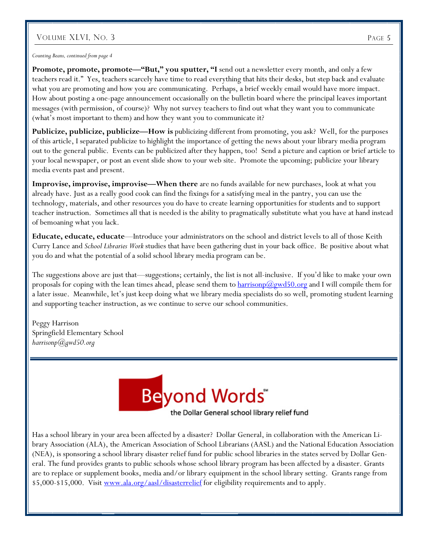## VOLUME XLVI, NO. 3 PAGE 5

*Counting Beans, continued from page 4* 

Promote, promote, promote-"But," you sputter, "I send out a newsletter every month, and only a few teachers read it." Yes, teachers scarcely have time to read everything that hits their desks, but step back and evaluate what you are promoting and how you are communicating. Perhaps, a brief weekly email would have more impact. How about posting a one-page announcement occasionally on the bulletin board where the principal leaves important messages (with permission, of course)? Why not survey teachers to find out what they want you to communicate (what's most important to them) and how they want you to communicate it?

**Publicize, publicize, publicize—How is** publicizing different from promoting, you ask? Well, for the purposes of this article, I separated publicize to highlight the importance of getting the news about your library media program out to the general public. Events can be publicized after they happen, too! Send a picture and caption or brief article to your local newspaper, or post an event slide show to your web site. Promote the upcoming; publicize your library media events past and present.

**Improvise, improvise, improvise—When there** are no funds available for new purchases, look at what you already have. Just as a really good cook can find the fixings for a satisfying meal in the pantry, you can use the technology, materials, and other resources you do have to create learning opportunities for students and to support teacher instruction. Sometimes all that is needed is the ability to pragmatically substitute what you have at hand instead of bemoaning what you lack.

**Educate, educate, educate**—Introduce your administrators on the school and district levels to all of those Keith Curry Lance and *School Libraries Work* studies that have been gathering dust in your back office. Be positive about what you do and what the potential of a solid school library media program can be.

The suggestions above are just that—suggestions; certainly, the list is not all-inclusive. If you'd like to make your own proposals for coping with the lean times ahead, please send them to  $\frac{harrisonp(\partial gwd50.0rg)}{amq\bar{d}}$  and I will compile them for a later issue. Meanwhile, let's just keep doing what we library media specialists do so well, promoting student learning and supporting teacher instruction, as we continue to serve our school communities.

Peggy Harrison Springfield Elementary School *harrisonp@gwd50.org*



Has a school library in your area been affected by a disaster? Dollar General, in collaboration with the American Library Association (ALA), the American Association of School Librarians (AASL) and the National Education Association (NEA), is sponsoring a school library disaster relief fund for public school libraries in the states served by Dollar General. The fund provides grants to public schools whose school library program has been affected by a disaster. Grants are to replace or supplement books, media and/or library equipment in the school library setting. Grants range from \$5,000-\$15,000. Visit www.ala.org/aasl/disasterrelief for eligibility requirements and to apply.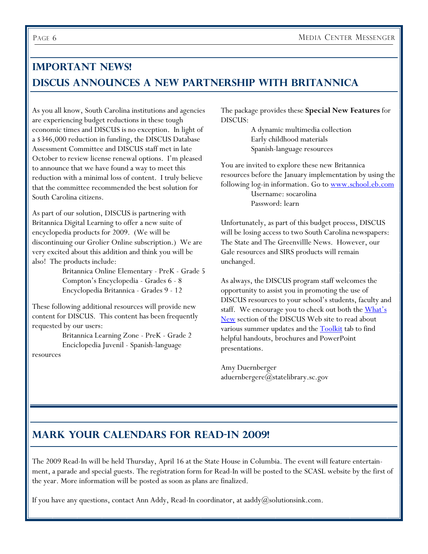## **Important News! DISCUS Announces a new Partnership with Britannica**

As you all know, South Carolina institutions and agencies are experiencing budget reductions in these tough economic times and DISCUS is no exception. In light of a \$346,000 reduction in funding, the DISCUS Database Assessment Committee and DISCUS staff met in late October to review license renewal options. I'm pleased to announce that we have found a way to meet this reduction with a minimal loss of content. I truly believe that the committee recommended the best solution for South Carolina citizens.

As part of our solution, DISCUS is partnering with Britannica Digital Learning to offer a new suite of encyclopedia products for 2009. (We will be discontinuing our Grolier Online subscription.) We are very excited about this addition and think you will be also! The products include:

> Britannica Online Elementary - PreK - Grade 5 Compton's Encyclopedia - Grades 6 - 8 Encyclopedia Britannica - Grades 9 - 12

These following additional resources will provide new content for DISCUS. This content has been frequently requested by our users:

 Britannica Learning Zone - PreK - Grade 2 Enciclopedia Juvenil - Spanish-language resources

The package provides these **Special New Features** for DISCUS:

> A dynamic multimedia collection Early childhood materials Spanish-language resources

You are invited to explore these new Britannica resources before the January implementation by using the following log-in information. Go to www.school.eb.com Username: socarolina Password: learn

Unfortunately, as part of this budget process, DISCUS will be losing access to two South Carolina newspapers: The State and The Greenvillle News. However, our Gale resources and SIRS products will remain unchanged.

As always, the DISCUS program staff welcomes the opportunity to assist you in promoting the use of DISCUS resources to your school's students, faculty and staff. We encourage you to check out both the **What's** New section of the DISCUS Web site to read about various summer updates and the **Toolkit** tab to find helpful handouts, brochures and PowerPoint presentations.

Amy Duernberger aduernbergere@statelibrary.sc.gov

## **Mark your calendars for Read-In 2009!**

The 2009 Read-In will be held Thursday, April 16 at the State House in Columbia. The event will feature entertainment, a parade and special guests. The registration form for Read-In will be posted to the SCASL website by the first of the year. More information will be posted as soon as plans are finalized.

If you have any questions, contact Ann Addy, Read-In coordinator, at aaddy@solutionsink.com.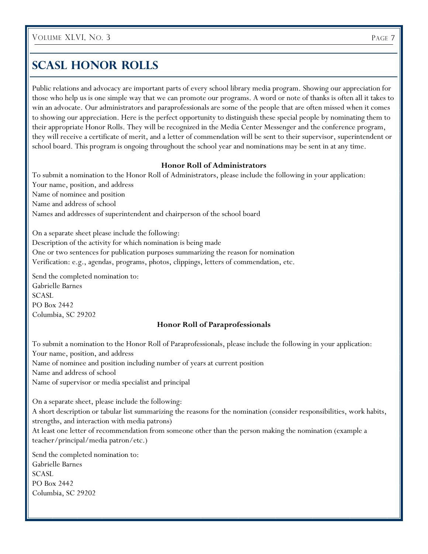## **SCASL HONOR ROLLS**

Public relations and advocacy are important parts of every school library media program. Showing our appreciation for those who help us is one simple way that we can promote our programs. A word or note of thanks is often all it takes to win an advocate. Our administrators and paraprofessionals are some of the people that are often missed when it comes to showing our appreciation. Here is the perfect opportunity to distinguish these special people by nominating them to their appropriate Honor Rolls. They will be recognized in the Media Center Messenger and the conference program, they will receive a certificate of merit, and a letter of commendation will be sent to their supervisor, superintendent or school board. This program is ongoing throughout the school year and nominations may be sent in at any time.

#### **Honor Roll of Administrators**

To submit a nomination to the Honor Roll of Administrators, please include the following in your application: Your name, position, and address Name of nominee and position Name and address of school Names and addresses of superintendent and chairperson of the school board

On a separate sheet please include the following: Description of the activity for which nomination is being made One or two sentences for publication purposes summarizing the reason for nomination Verification: e.g., agendas, programs, photos, clippings, letters of commendation, etc.

Send the completed nomination to: Gabrielle Barnes **SCASL** PO Box 2442 Columbia, SC 29202

## **Honor Roll of Paraprofessionals**

To submit a nomination to the Honor Roll of Paraprofessionals, please include the following in your application: Your name, position, and address Name of nominee and position including number of years at current position Name and address of school Name of supervisor or media specialist and principal

On a separate sheet, please include the following: A short description or tabular list summarizing the reasons for the nomination (consider responsibilities, work habits, strengths, and interaction with media patrons) At least one letter of recommendation from someone other than the person making the nomination (example a teacher/principal/media patron/etc.)

Send the completed nomination to: Gabrielle Barnes **SCASL** PO Box 2442 Columbia, SC 29202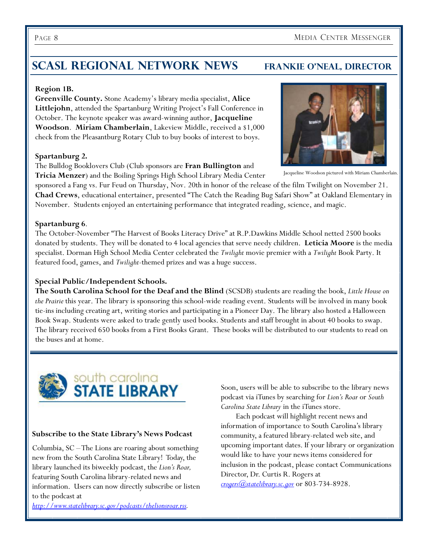## **SCASL REGIONAL NETWORK NEWS FRANKIE O'NEAL, DIRECTOR**

## **Region 1B.**

**Greenville County.** Stone Academy's library media specialist, **Alice Littlejohn**, attended the Spartanburg Writing Project's Fall Conference in October. The keynote speaker was award-winning author, **Jacqueline Woodson**. **Miriam Chamberlain**, Lakeview Middle, received a \$1,000 check from the Pleasantburg Rotary Club to buy books of interest to boys.

## **Spartanburg 2.**

The Bulldog Booklovers Club (Club sponsors are **Fran Bullington** and **Tricia Menzer**) and the Boiling Springs High School Library Media Center

sponsored a Fang vs. Fur Feud on Thursday, Nov. 20th in honor of the release of the film Twilight on November 21. **Chad Crews**, educational entertainer, presented "The Catch the Reading Bug Safari Show" at Oakland Elementary in November. Students enjoyed an entertaining performance that integrated reading, science, and magic.

## **Spartanburg 6**.

The October-November "The Harvest of Books Literacy Drive" at R.P.Dawkins Middle School netted 2500 books donated by students. They will be donated to 4 local agencies that serve needy children. **Leticia Moore** is the media specialist. Dorman High School Media Center celebrated the *Twilight* movie premier with a *Twilight* Book Party. It featured food, games, and *Twilight*-themed prizes and was a huge success.

## **Special Public/Independent Schools.**

**The South Carolina School for the Deaf and the Blind** (SCSDB) students are reading the book, *Little House on the Prairie* this year. The library is sponsoring this school-wide reading event. Students will be involved in many book tie-ins including creating art, writing stories and participating in a Pioneer Day. The library also hosted a Halloween Book Swap. Students were asked to trade gently used books. Students and staff brought in about 40 books to swap. The library received 650 books from a First Books Grant. These books will be distributed to our students to read on the buses and at home.



## **Subscribe to the State Library's News Podcast**

Columbia, SC – The Lions are roaring about something new from the South Carolina State Library! Today, the library launched its biweekly podcast, the *Lion's Roar,*  featuring South Carolina library-related news and information. Users can now directly subscribe or listen to the podcast at

*http://www.statelibrary.sc.gov/podcasts/thelionsroar.rss.*

Soon, users will be able to subscribe to the library news podcast via iTunes by searching for *Lion's Roar* or *South Carolina State Library* in the iTunes store.

 Each podcast will highlight recent news and information of importance to South Carolina's library community, a featured library-related web site, and upcoming important dates. If your library or organization would like to have your news items considered for inclusion in the podcast, please contact Communications Director, Dr. Curtis R. Rogers at *crogers@statelibrary.sc.gov* or 803-734-8928.



Jacqueline Woodson pictured with Miriam Chamberlain.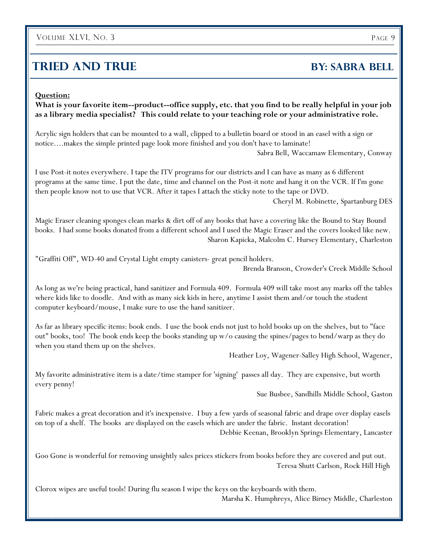## VOLUME XLVI, NO. 3 PAGE 9

## **TRIED AND TRUE BY: SABRA BELL**

#### **Question:**

**What is your favorite item--product--office supply, etc. that you find to be really helpful in your job as a library media specialist? This could relate to your teaching role or your administrative role.** 

Acrylic sign holders that can be mounted to a wall, clipped to a bulletin board or stood in an easel with a sign or notice....makes the simple printed page look more finished and you don't have to laminate!

Sabra Bell, Waccamaw Elementary, Conway

I use Post-it notes everywhere. I tape the ITV programs for our districts and I can have as many as 6 different programs at the same time. I put the date, time and channel on the Post-it note and hang it on the VCR. If I'm gone then people know not to use that VCR. After it tapes I attach the sticky note to the tape or DVD.

Cheryl M. Robinette, Spartanburg DES

Magic Eraser cleaning sponges clean marks & dirt off of any books that have a covering like the Bound to Stay Bound books. I had some books donated from a different school and I used the Magic Eraser and the covers looked like new. Sharon Kapicka, Malcolm C. Hursey Elementary, Charleston

"Graffiti Off", WD-40 and Crystal Light empty canisters- great pencil holders.

Brenda Branson, Crowder's Creek Middle School

As long as we're being practical, hand sanitizer and Formula 409. Formula 409 will take most any marks off the tables where kids like to doodle. And with as many sick kids in here, anytime I assist them and/or touch the student computer keyboard/mouse, I make sure to use the hand sanitizer.

As far as library specific items: book ends. I use the book ends not just to hold books up on the shelves, but to "face out" books, too! The book ends keep the books standing up w/o causing the spines/pages to bend/warp as they do when you stand them up on the shelves.

Heather Loy, Wagener-Salley High School, Wagener,

My favorite administrative item is a date/time stamper for 'signing' passes all day. They are expensive, but worth every penny!

Sue Busbee, Sandhills Middle School, Gaston

Fabric makes a great decoration and it's inexpensive. I buy a few yards of seasonal fabric and drape over display easels on top of a shelf. The books are displayed on the easels which are under the fabric. Instant decoration! Debbie Keenan, Brooklyn Springs Elementary, Lancaster

Goo Gone is wonderful for removing unsightly sales prices stickers from books before they are covered and put out. Teresa Shutt Carlson, Rock Hill High

Clorox wipes are useful tools! During flu season I wipe the keys on the keyboards with them. Marsha K. Humphreys, Alice Birney Middle, Charleston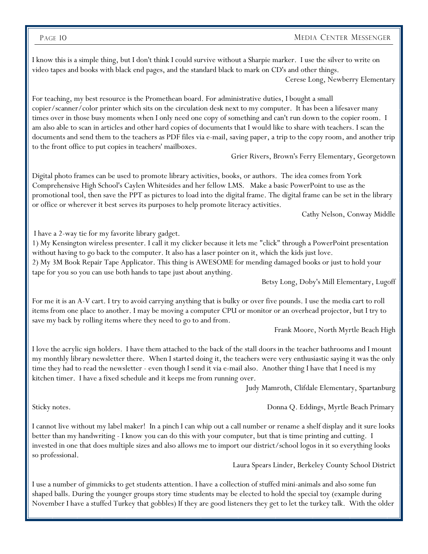#### PAGE 10 MEDIA CENTER MESSENGER

I know this is a simple thing, but I don't think I could survive without a Sharpie marker. I use the silver to write on video tapes and books with black end pages, and the standard black to mark on CD's and other things.

Cerese Long, Newberry Elementary

For teaching, my best resource is the Promethean board. For administrative duties, I bought a small copier/scanner/color printer which sits on the circulation desk next to my computer. It has been a lifesaver many times over in those busy moments when I only need one copy of something and can't run down to the copier room. I am also able to scan in articles and other hard copies of documents that I would like to share with teachers. I scan the documents and send them to the teachers as PDF files via e-mail, saving paper, a trip to the copy room, and another trip to the front office to put copies in teachers' mailboxes.

Grier Rivers, Brown's Ferry Elementary, Georgetown

Digital photo frames can be used to promote library activities, books, or authors. The idea comes from York Comprehensive High School's Caylen Whitesides and her fellow LMS. Make a basic PowerPoint to use as the promotional tool, then save the PPT as pictures to load into the digital frame. The digital frame can be set in the library or office or wherever it best serves its purposes to help promote literacy activities.

Cathy Nelson, Conway Middle

I have a 2-way tie for my favorite library gadget.

1) My Kensington wireless presenter. I call it my clicker because it lets me "click" through a PowerPoint presentation without having to go back to the computer. It also has a laser pointer on it, which the kids just love.

2) My 3M Book Repair Tape Applicator. This thing is AWESOME for mending damaged books or just to hold your tape for you so you can use both hands to tape just about anything.

Betsy Long, Doby's Mill Elementary, Lugoff

For me it is an A-V cart. I try to avoid carrying anything that is bulky or over five pounds. I use the media cart to roll items from one place to another. I may be moving a computer CPU or monitor or an overhead projector, but I try to save my back by rolling items where they need to go to and from.

Frank Moore, North Myrtle Beach High

I love the acrylic sign holders. I have them attached to the back of the stall doors in the teacher bathrooms and I mount my monthly library newsletter there. When I started doing it, the teachers were very enthusiastic saying it was the only time they had to read the newsletter - even though I send it via e-mail also. Another thing I have that I need is my kitchen timer. I have a fixed schedule and it keeps me from running over.

Judy Mamroth, Clifdale Elementary, Spartanburg

Sticky notes. Donna Q. Eddings, Myrtle Beach Primary

I cannot live without my label maker! In a pinch I can whip out a call number or rename a shelf display and it sure looks better than my handwriting - I know you can do this with your computer, but that is time printing and cutting. I invested in one that does multiple sizes and also allows me to import our district/school logos in it so everything looks so professional.

Laura Spears Linder, Berkeley County School District

I use a number of gimmicks to get students attention. I have a collection of stuffed mini-animals and also some fun shaped balls. During the younger groups story time students may be elected to hold the special toy (example during November I have a stuffed Turkey that gobbles) If they are good listeners they get to let the turkey talk. With the older